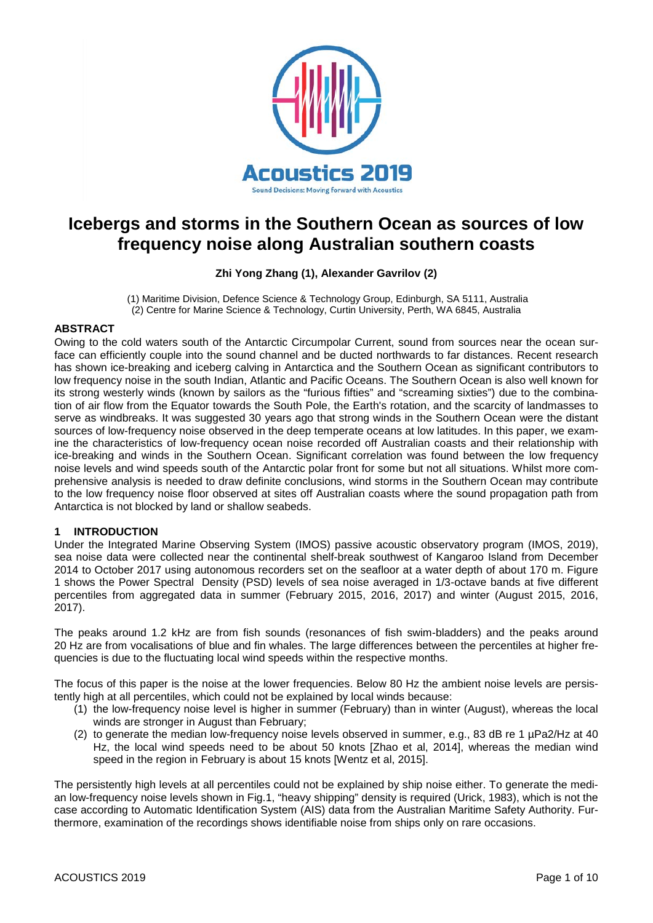

# **Icebergs and storms in the Southern Ocean as sources of low frequency noise along Australian southern coasts**

# **Zhi Yong Zhang (1), Alexander Gavrilov (2)**

(1) Maritime Division, Defence Science & Technology Group, Edinburgh, SA 5111, Australia (2) Centre for Marine Science & Technology, Curtin University, Perth, WA 6845, Australia

# **ABSTRACT**

Owing to the cold waters south of the Antarctic Circumpolar Current, sound from sources near the ocean surface can efficiently couple into the sound channel and be ducted northwards to far distances. Recent research has shown ice-breaking and iceberg calving in Antarctica and the Southern Ocean as significant contributors to low frequency noise in the south Indian, Atlantic and Pacific Oceans. The Southern Ocean is also well known for its strong westerly winds (known by sailors as the "furious fifties" and "screaming sixties") due to the combination of air flow from the Equator towards the South Pole, the Earth's rotation, and the scarcity of landmasses to serve as windbreaks. It was suggested 30 years ago that strong winds in the Southern Ocean were the distant sources of low-frequency noise observed in the deep temperate oceans at low latitudes. In this paper, we examine the characteristics of low-frequency ocean noise recorded off Australian coasts and their relationship with ice-breaking and winds in the Southern Ocean. Significant correlation was found between the low frequency noise levels and wind speeds south of the Antarctic polar front for some but not all situations. Whilst more comprehensive analysis is needed to draw definite conclusions, wind storms in the Southern Ocean may contribute to the low frequency noise floor observed at sites off Australian coasts where the sound propagation path from Antarctica is not blocked by land or shallow seabeds.

#### **1 INTRODUCTION**

Under the Integrated Marine Observing System (IMOS) passive acoustic observatory program (IMOS, 2019), sea noise data were collected near the continental shelf-break southwest of Kangaroo Island from December 2014 to October 2017 using autonomous recorders set on the seafloor at a water depth of about 170 m. Figure 1 shows the Power Spectral Density (PSD) levels of sea noise averaged in 1/3-octave bands at five different percentiles from aggregated data in summer (February 2015, 2016, 2017) and winter (August 2015, 2016, 2017).

The peaks around 1.2 kHz are from fish sounds (resonances of fish swim-bladders) and the peaks around 20 Hz are from vocalisations of blue and fin whales. The large differences between the percentiles at higher frequencies is due to the fluctuating local wind speeds within the respective months.

The focus of this paper is the noise at the lower frequencies. Below 80 Hz the ambient noise levels are persistently high at all percentiles, which could not be explained by local winds because:

- (1) the low-frequency noise level is higher in summer (February) than in winter (August), whereas the local winds are stronger in August than February;
- (2) to generate the median low-frequency noise levels observed in summer, e.g., 83 dB re 1 µPa2/Hz at 40 Hz, the local wind speeds need to be about 50 knots [Zhao et al, 2014], whereas the median wind speed in the region in February is about 15 knots [Wentz et al, 2015].

The persistently high levels at all percentiles could not be explained by ship noise either. To generate the median low-frequency noise levels shown in Fig.1, "heavy shipping" density is required (Urick, 1983), which is not the case according to Automatic Identification System (AIS) data from the Australian Maritime Safety Authority. Furthermore, examination of the recordings shows identifiable noise from ships only on rare occasions.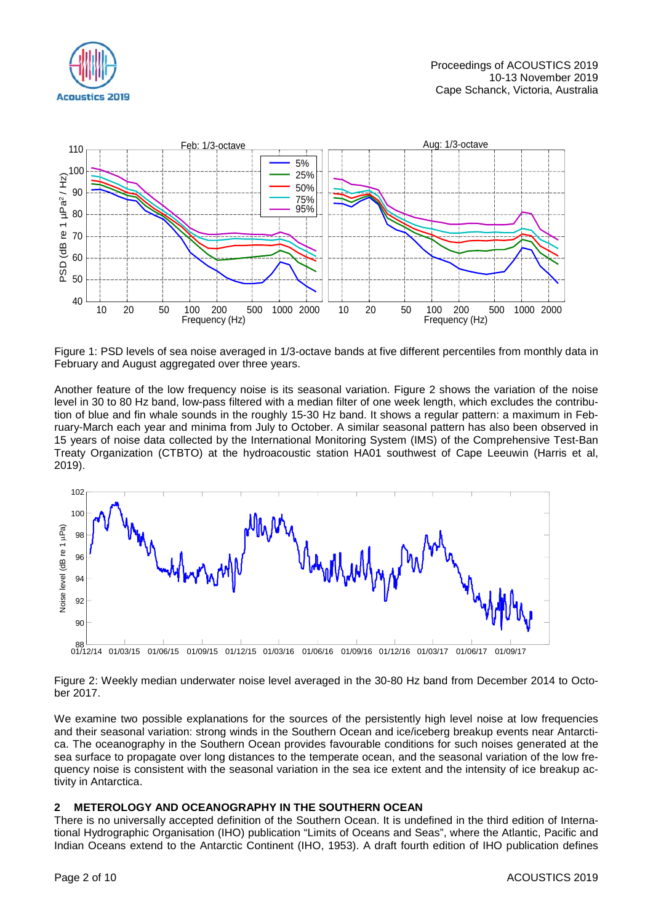



Figure 1: PSD levels of sea noise averaged in 1/3-octave bands at five different percentiles from monthly data in February and August aggregated over three years.

Another feature of the low frequency noise is its seasonal variation. Figure 2 shows the variation of the noise level in 30 to 80 Hz band, low-pass filtered with a median filter of one week length, which excludes the contribution of blue and fin whale sounds in the roughly 15-30 Hz band. It shows a regular pattern: a maximum in February-March each year and minima from July to October. A similar seasonal pattern has also been observed in 15 years of noise data collected by the International Monitoring System (IMS) of the Comprehensive Test-Ban Treaty Organization (CTBTO) at the hydroacoustic station HA01 southwest of Cape Leeuwin (Harris et al, 2019).



Figure 2: Weekly median underwater noise level averaged in the 30-80 Hz band from December 2014 to October 2017.

We examine two possible explanations for the sources of the persistently high level noise at low frequencies and their seasonal variation: strong winds in the Southern Ocean and ice/iceberg breakup events near Antarctica. The oceanography in the Southern Ocean provides favourable conditions for such noises generated at the sea surface to propagate over long distances to the temperate ocean, and the seasonal variation of the low frequency noise is consistent with the seasonal variation in the sea ice extent and the intensity of ice breakup activity in Antarctica.

# **2 METEROLOGY AND OCEANOGRAPHY IN THE SOUTHERN OCEAN**

There is no universally accepted definition of the Southern Ocean. It is undefined in the third edition of International Hydrographic Organisation (IHO) publication "Limits of Oceans and Seas", where the Atlantic, Pacific and Indian Oceans extend to the Antarctic Continent (IHO, 1953). A draft fourth edition of IHO publication defines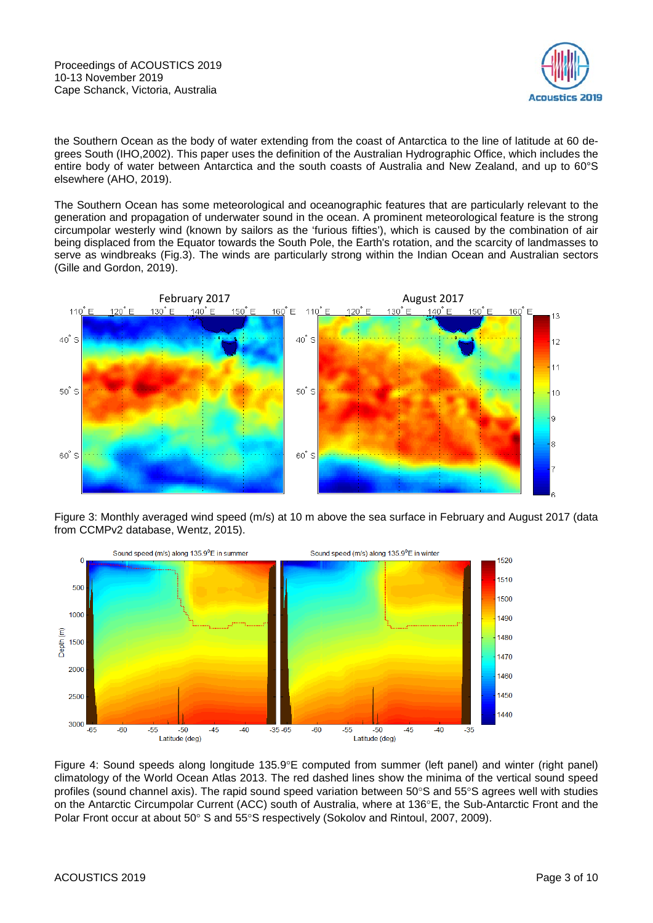Proceedings of ACOUSTICS 2019 10-13 November 2019 Cape Schanck, Victoria, Australia



the Southern Ocean as the body of water extending from the coast of Antarctica to the line of latitude at 60 degrees South (IHO,2002). This paper uses the definition of the Australian Hydrographic Office, which includes the entire body of water between Antarctica and the south coasts of Australia and New Zealand, and up to 60°S elsewhere (AHO, 2019).

The Southern Ocean has some meteorological and oceanographic features that are particularly relevant to the generation and propagation of underwater sound in the ocean. A prominent meteorological feature is the strong circumpolar westerly wind (known by sailors as the 'furious fifties'), which is caused by the combination of air being displaced from the Equator towards the South Pole, the Earth's rotation, and the scarcity of landmasses to serve as windbreaks (Fig.3). The winds are particularly strong within the Indian Ocean and Australian sectors (Gille and Gordon, 2019).



Figure 3: Monthly averaged wind speed (m/s) at 10 m above the sea surface in February and August 2017 (data from CCMPv2 database, Wentz, 2015).



Figure 4: Sound speeds along longitude 135.9°E computed from summer (left panel) and winter (right panel) climatology of the World Ocean Atlas 2013. The red dashed lines show the minima of the vertical sound speed profiles (sound channel axis). The rapid sound speed variation between 50°S and 55°S agrees well with studies on the Antarctic Circumpolar Current (ACC) south of Australia, where at 136°E, the Sub-Antarctic Front and the Polar Front occur at about 50° S and 55°S respectively (Sokolov and Rintoul, 2007, 2009).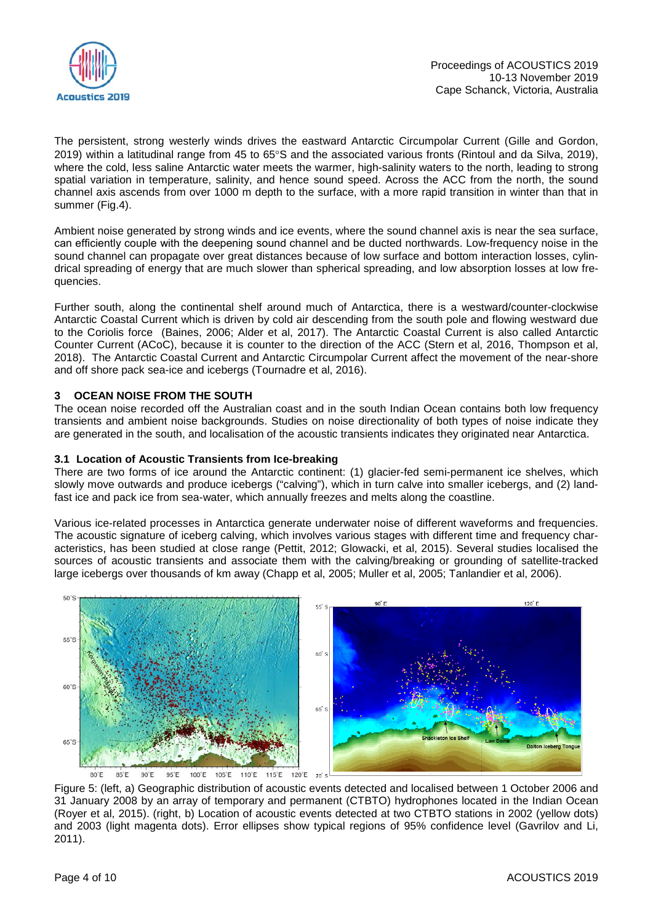

The persistent, strong westerly winds drives the eastward Antarctic Circumpolar Current (Gille and Gordon, 2019) within a latitudinal range from 45 to 65°S and the associated various fronts (Rintoul and da Silva, 2019), where the cold, less saline Antarctic water meets the warmer, high-salinity waters to the north, leading to strong spatial variation in temperature, salinity, and hence sound speed. Across the ACC from the north, the sound channel axis ascends from over 1000 m depth to the surface, with a more rapid transition in winter than that in summer (Fig.4).

Ambient noise generated by strong winds and ice events, where the sound channel axis is near the sea surface, can efficiently couple with the deepening sound channel and be ducted northwards. Low-frequency noise in the sound channel can propagate over great distances because of low surface and bottom interaction losses, cylindrical spreading of energy that are much slower than spherical spreading, and low absorption losses at low frequencies.

Further south, along the continental shelf around much of Antarctica, there is a westward/counter-clockwise Antarctic Coastal Current which is driven by cold air descending from the south pole and flowing westward due to the Coriolis force (Baines, 2006; Alder et al, 2017). The Antarctic Coastal Current is also called Antarctic Counter Current (ACoC), because it is counter to the direction of the ACC (Stern et al, 2016, Thompson et al, 2018). The Antarctic Coastal Current and Antarctic Circumpolar Current affect the movement of the near-shore and off shore pack sea-ice and icebergs (Tournadre et al, 2016).

# **3 OCEAN NOISE FROM THE SOUTH**

The ocean noise recorded off the Australian coast and in the south Indian Ocean contains both low frequency transients and ambient noise backgrounds. Studies on noise directionality of both types of noise indicate they are generated in the south, and localisation of the acoustic transients indicates they originated near Antarctica.

#### **3.1 Location of Acoustic Transients from Ice-breaking**

There are two forms of ice around the Antarctic continent: (1) glacier-fed semi-permanent ice shelves, which slowly move outwards and produce icebergs ("calving"), which in turn calve into smaller icebergs, and (2) landfast ice and pack ice from sea-water, which annually freezes and melts along the coastline.

Various ice-related processes in Antarctica generate underwater noise of different waveforms and frequencies. The acoustic signature of iceberg calving, which involves various stages with different time and frequency characteristics, has been studied at close range (Pettit, 2012; Glowacki, et al, 2015). Several studies localised the sources of acoustic transients and associate them with the calving/breaking or grounding of satellite-tracked large icebergs over thousands of km away (Chapp et al, 2005; Muller et al, 2005; Tanlandier et al, 2006).



Figure 5: (left, a) Geographic distribution of acoustic events detected and localised between 1 October 2006 and 31 January 2008 by an array of temporary and permanent (CTBTO) hydrophones located in the Indian Ocean (Royer et al, 2015). (right, b) Location of acoustic events detected at two CTBTO stations in 2002 (yellow dots) and 2003 (light magenta dots). Error ellipses show typical regions of 95% confidence level (Gavrilov and Li, 2011).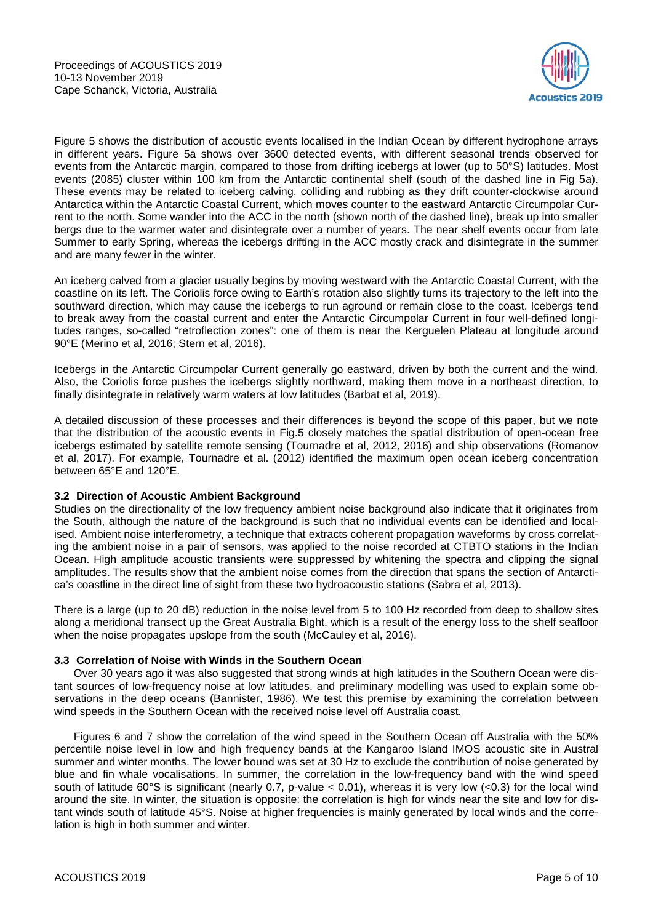

Figure 5 shows the distribution of acoustic events localised in the Indian Ocean by different hydrophone arrays in different years. Figure 5a shows over 3600 detected events, with different seasonal trends observed for events from the Antarctic margin, compared to those from drifting icebergs at lower (up to 50°S) latitudes. Most events (2085) cluster within 100 km from the Antarctic continental shelf (south of the dashed line in Fig 5a). These events may be related to iceberg calving, colliding and rubbing as they drift counter-clockwise around Antarctica within the Antarctic Coastal Current, which moves counter to the eastward Antarctic Circumpolar Current to the north. Some wander into the ACC in the north (shown north of the dashed line), break up into smaller bergs due to the warmer water and disintegrate over a number of years. The near shelf events occur from late Summer to early Spring, whereas the icebergs drifting in the ACC mostly crack and disintegrate in the summer and are many fewer in the winter.

An iceberg calved from a glacier usually begins by moving westward with the Antarctic Coastal Current, with the coastline on its left. The Coriolis force owing to Earth's rotation also slightly turns its trajectory to the left into the southward direction, which may cause the icebergs to run aground or remain close to the coast. Icebergs tend to break away from the coastal current and enter the Antarctic Circumpolar Current in four well-defined longitudes ranges, so-called "retroflection zones": one of them is near the Kerguelen Plateau at longitude around 90°E (Merino et al, 2016; Stern et al, 2016).

Icebergs in the Antarctic Circumpolar Current generally go eastward, driven by both the current and the wind. Also, the Coriolis force pushes the icebergs slightly northward, making them move in a northeast direction, to finally disintegrate in relatively warm waters at low latitudes (Barbat et al, 2019).

A detailed discussion of these processes and their differences is beyond the scope of this paper, but we note that the distribution of the acoustic events in Fig.5 closely matches the spatial distribution of open-ocean free icebergs estimated by satellite remote sensing (Tournadre et al, 2012, 2016) and ship observations (Romanov et al, 2017). For example, Tournadre et al. (2012) identified the maximum open ocean iceberg concentration between 65°E and 120°E.

# **3.2 Direction of Acoustic Ambient Background**

Studies on the directionality of the low frequency ambient noise background also indicate that it originates from the South, although the nature of the background is such that no individual events can be identified and localised. Ambient noise interferometry, a technique that extracts coherent propagation waveforms by cross correlating the ambient noise in a pair of sensors, was applied to the noise recorded at CTBTO stations in the Indian Ocean. High amplitude acoustic transients were suppressed by whitening the spectra and clipping the signal amplitudes. The results show that the ambient noise comes from the direction that spans the section of Antarctica's coastline in the direct line of sight from these two hydroacoustic stations (Sabra et al, 2013).

There is a large (up to 20 dB) reduction in the noise level from 5 to 100 Hz recorded from deep to shallow sites along a meridional transect up the Great Australia Bight, which is a result of the energy loss to the shelf seafloor when the noise propagates upslope from the south (McCauley et al, 2016).

# **3.3 Correlation of Noise with Winds in the Southern Ocean**

Over 30 years ago it was also suggested that strong winds at high latitudes in the Southern Ocean were distant sources of low-frequency noise at low latitudes, and preliminary modelling was used to explain some observations in the deep oceans (Bannister, 1986). We test this premise by examining the correlation between wind speeds in the Southern Ocean with the received noise level off Australia coast.

Figures 6 and 7 show the correlation of the wind speed in the Southern Ocean off Australia with the 50% percentile noise level in low and high frequency bands at the Kangaroo Island IMOS acoustic site in Austral summer and winter months. The lower bound was set at 30 Hz to exclude the contribution of noise generated by blue and fin whale vocalisations. In summer, the correlation in the low-frequency band with the wind speed south of latitude 60°S is significant (nearly 0.7, p-value  $<$  0.01), whereas it is very low ( $<$ 0.3) for the local wind around the site. In winter, the situation is opposite: the correlation is high for winds near the site and low for distant winds south of latitude 45°S. Noise at higher frequencies is mainly generated by local winds and the correlation is high in both summer and winter.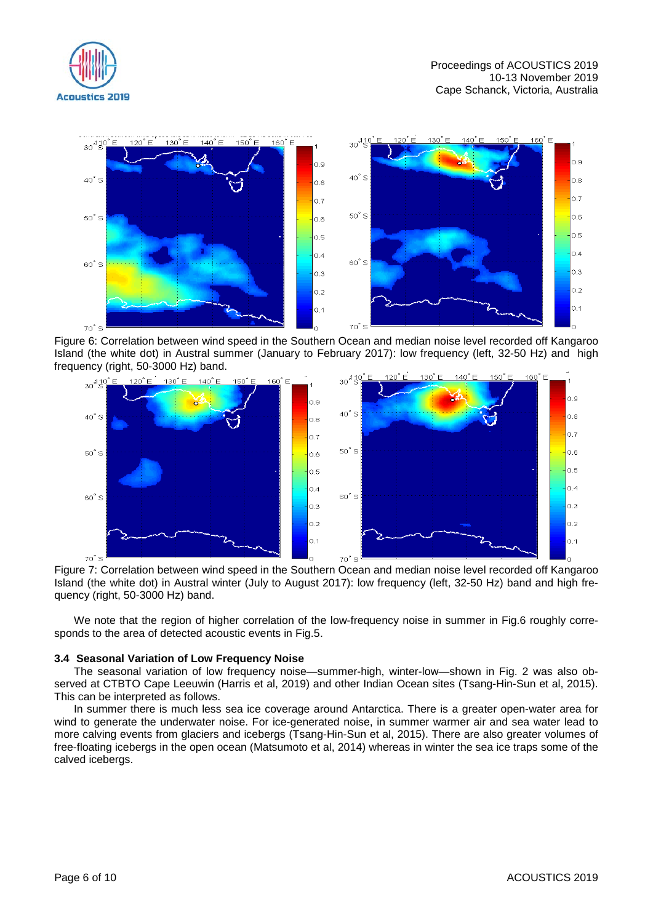



Figure 6: Correlation between wind speed in the Southern Ocean and median noise level recorded off Kangaroo Island (the white dot) in Austral summer (January to February 2017): low frequency (left, 32-50 Hz) and high frequency (right, 50-3000 Hz) band.



Figure 7: Correlation between wind speed in the Southern Ocean and median noise level recorded off Kangaroo Island (the white dot) in Austral winter (July to August 2017): low frequency (left, 32-50 Hz) band and high frequency (right, 50-3000 Hz) band.

We note that the region of higher correlation of the low-frequency noise in summer in Fig.6 roughly corresponds to the area of detected acoustic events in Fig.5.

#### **3.4 Seasonal Variation of Low Frequency Noise**

The seasonal variation of low frequency noise—summer-high, winter-low—shown in Fig. 2 was also observed at CTBTO Cape Leeuwin (Harris et al, 2019) and other Indian Ocean sites (Tsang-Hin-Sun et al, 2015). This can be interpreted as follows.

In summer there is much less sea ice coverage around Antarctica. There is a greater open-water area for wind to generate the underwater noise. For ice-generated noise, in summer warmer air and sea water lead to more calving events from glaciers and icebergs (Tsang-Hin-Sun et al, 2015). There are also greater volumes of free-floating icebergs in the open ocean (Matsumoto et al, 2014) whereas in winter the sea ice traps some of the calved icebergs.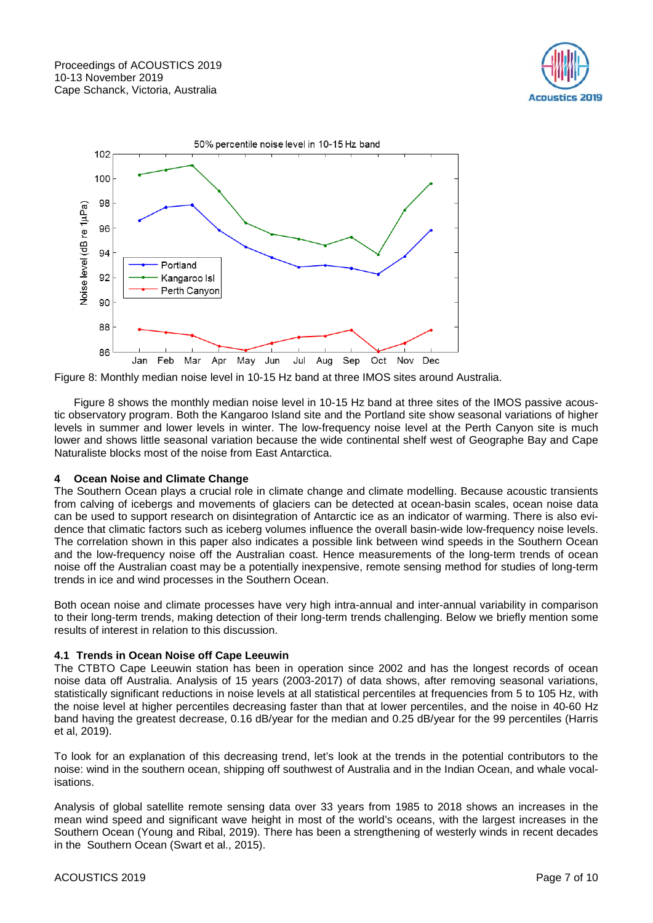



Figure 8: Monthly median noise level in 10-15 Hz band at three IMOS sites around Australia.

Figure 8 shows the monthly median noise level in 10-15 Hz band at three sites of the IMOS passive acoustic observatory program. Both the Kangaroo Island site and the Portland site show seasonal variations of higher levels in summer and lower levels in winter. The low-frequency noise level at the Perth Canyon site is much lower and shows little seasonal variation because the wide continental shelf west of Geographe Bay and Cape Naturaliste blocks most of the noise from East Antarctica.

# **4 Ocean Noise and Climate Change**

The Southern Ocean plays a crucial role in climate change and climate modelling. Because acoustic transients from calving of icebergs and movements of glaciers can be detected at ocean-basin scales, ocean noise data can be used to support research on disintegration of Antarctic ice as an indicator of warming. There is also evidence that climatic factors such as iceberg volumes influence the overall basin-wide low-frequency noise levels. The correlation shown in this paper also indicates a possible link between wind speeds in the Southern Ocean and the low-frequency noise off the Australian coast. Hence measurements of the long-term trends of ocean noise off the Australian coast may be a potentially inexpensive, remote sensing method for studies of long-term trends in ice and wind processes in the Southern Ocean.

Both ocean noise and climate processes have very high intra-annual and inter-annual variability in comparison to their long-term trends, making detection of their long-term trends challenging. Below we briefly mention some results of interest in relation to this discussion.

# **4.1 Trends in Ocean Noise off Cape Leeuwin**

The CTBTO Cape Leeuwin station has been in operation since 2002 and has the longest records of ocean noise data off Australia. Analysis of 15 years (2003-2017) of data shows, after removing seasonal variations, statistically significant reductions in noise levels at all statistical percentiles at frequencies from 5 to 105 Hz, with the noise level at higher percentiles decreasing faster than that at lower percentiles, and the noise in 40-60 Hz band having the greatest decrease, 0.16 dB/year for the median and 0.25 dB/year for the 99 percentiles (Harris et al, 2019).

To look for an explanation of this decreasing trend, let's look at the trends in the potential contributors to the noise: wind in the southern ocean, shipping off southwest of Australia and in the Indian Ocean, and whale vocalisations.

Analysis of global satellite remote sensing data over 33 years from 1985 to 2018 shows an increases in the mean wind speed and significant wave height in most of the world's oceans, with the largest increases in the Southern Ocean (Young and Ribal, 2019). There has been a strengthening of westerly winds in recent decades in the Southern Ocean (Swart et al., 2015).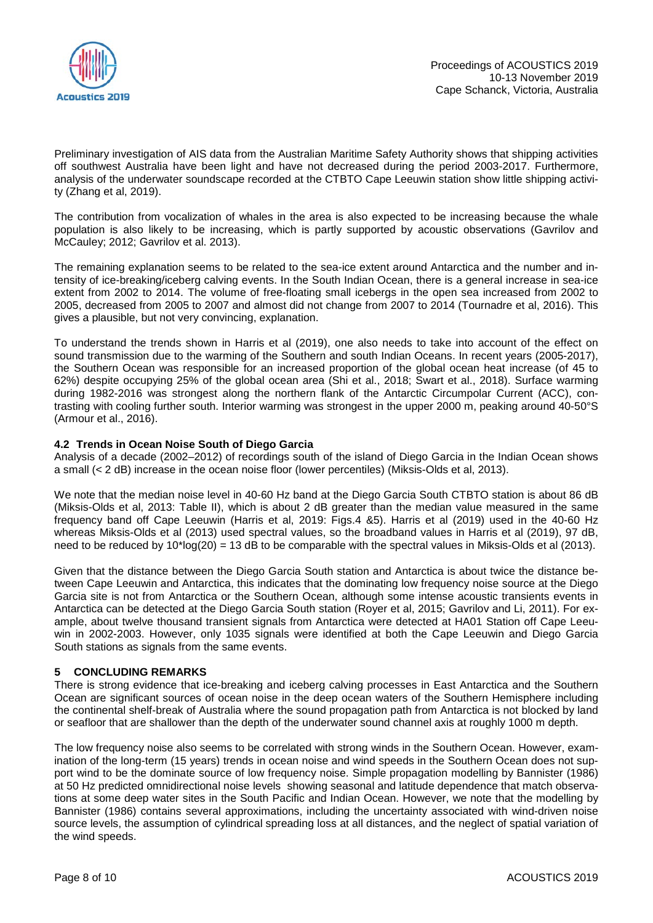

Preliminary investigation of AIS data from the Australian Maritime Safety Authority shows that shipping activities off southwest Australia have been light and have not decreased during the period 2003-2017. Furthermore, analysis of the underwater soundscape recorded at the CTBTO Cape Leeuwin station show little shipping activity (Zhang et al, 2019).

The contribution from vocalization of whales in the area is also expected to be increasing because the whale population is also likely to be increasing, which is partly supported by acoustic observations (Gavrilov and McCauley; 2012; Gavrilov et al. 2013).

The remaining explanation seems to be related to the sea-ice extent around Antarctica and the number and intensity of ice-breaking/iceberg calving events. In the South Indian Ocean, there is a general increase in sea-ice extent from 2002 to 2014. The volume of free-floating small icebergs in the open sea increased from 2002 to 2005, decreased from 2005 to 2007 and almost did not change from 2007 to 2014 (Tournadre et al, 2016). This gives a plausible, but not very convincing, explanation.

To understand the trends shown in Harris et al (2019), one also needs to take into account of the effect on sound transmission due to the warming of the Southern and south Indian Oceans. In recent years (2005-2017), the Southern Ocean was responsible for an increased proportion of the global ocean heat increase (of 45 to 62%) despite occupying 25% of the global ocean area (Shi et al., 2018; Swart et al., 2018). Surface warming during 1982-2016 was strongest along the northern flank of the Antarctic Circumpolar Current (ACC), contrasting with cooling further south. Interior warming was strongest in the upper 2000 m, peaking around 40-50°S (Armour et al., 2016).

#### **4.2 Trends in Ocean Noise South of Diego Garcia**

Analysis of a decade (2002–2012) of recordings south of the island of Diego Garcia in the Indian Ocean shows a small (< 2 dB) increase in the ocean noise floor (lower percentiles) (Miksis-Olds et al, 2013).

We note that the median noise level in 40-60 Hz band at the Diego Garcia South CTBTO station is about 86 dB (Miksis-Olds et al, 2013: Table II), which is about 2 dB greater than the median value measured in the same frequency band off Cape Leeuwin (Harris et al, 2019: Figs.4 &5). Harris et al (2019) used in the 40-60 Hz whereas Miksis-Olds et al (2013) used spectral values, so the broadband values in Harris et al (2019), 97 dB, need to be reduced by  $10^*$ log(20) = 13 dB to be comparable with the spectral values in Miksis-Olds et al (2013).

Given that the distance between the Diego Garcia South station and Antarctica is about twice the distance between Cape Leeuwin and Antarctica, this indicates that the dominating low frequency noise source at the Diego Garcia site is not from Antarctica or the Southern Ocean, although some intense acoustic transients events in Antarctica can be detected at the Diego Garcia South station (Royer et al, 2015; Gavrilov and Li, 2011). For example, about twelve thousand transient signals from Antarctica were detected at HA01 Station off Cape Leeuwin in 2002-2003. However, only 1035 signals were identified at both the Cape Leeuwin and Diego Garcia South stations as signals from the same events.

# **5 CONCLUDING REMARKS**

There is strong evidence that ice-breaking and iceberg calving processes in East Antarctica and the Southern Ocean are significant sources of ocean noise in the deep ocean waters of the Southern Hemisphere including the continental shelf-break of Australia where the sound propagation path from Antarctica is not blocked by land or seafloor that are shallower than the depth of the underwater sound channel axis at roughly 1000 m depth.

The low frequency noise also seems to be correlated with strong winds in the Southern Ocean. However, examination of the long-term (15 years) trends in ocean noise and wind speeds in the Southern Ocean does not support wind to be the dominate source of low frequency noise. Simple propagation modelling by Bannister (1986) at 50 Hz predicted omnidirectional noise levels showing seasonal and latitude dependence that match observations at some deep water sites in the South Pacific and Indian Ocean. However, we note that the modelling by Bannister (1986) contains several approximations, including the uncertainty associated with wind-driven noise source levels, the assumption of cylindrical spreading loss at all distances, and the neglect of spatial variation of the wind speeds.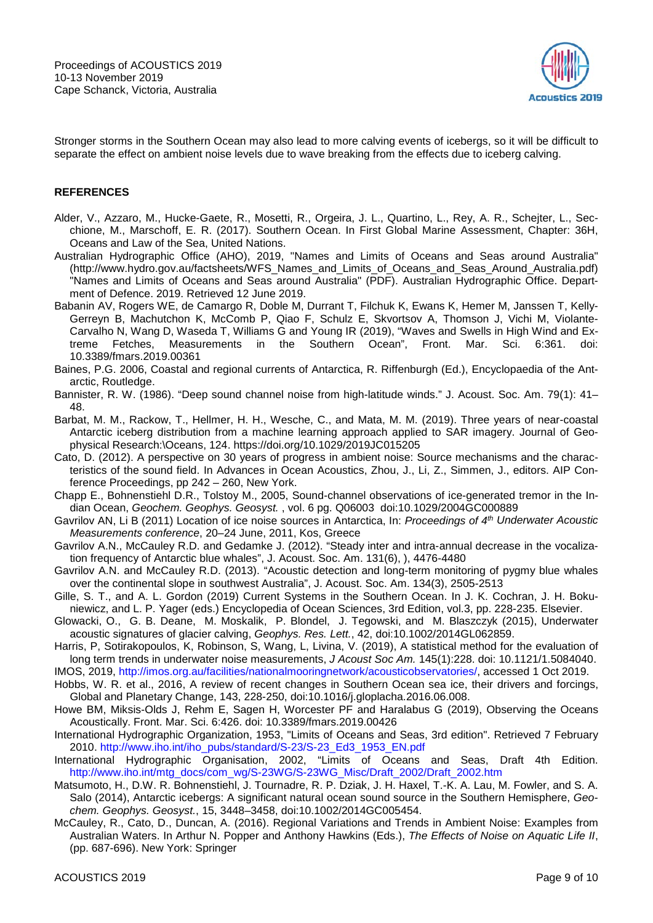

Stronger storms in the Southern Ocean may also lead to more calving events of icebergs, so it will be difficult to separate the effect on ambient noise levels due to wave breaking from the effects due to iceberg calving.

#### **REFERENCES**

- Alder, V., Azzaro, M., Hucke-Gaete, R., Mosetti, R., Orgeira, J. L., Quartino, L., Rey, A. R., Schejter, L., Secchione, M., Marschoff, E. R. (2017). Southern Ocean. In First Global Marine Assessment, Chapter: 36H, Oceans and Law of the Sea, United Nations.
- Australian Hydrographic Office (AHO), 2019, "Names and Limits of Oceans and Seas around Australia" (http://www.hydro.gov.au/factsheets/WFS\_Names\_and\_Limits\_of\_Oceans\_and\_Seas\_Around\_Australia.pdf) "Names and Limits of Oceans and Seas around Australia" (PDF). Australian Hydrographic Office. Department of Defence. 2019. Retrieved 12 June 2019.
- Babanin AV, Rogers WE, de Camargo R, Doble M, Durrant T, Filchuk K, Ewans K, Hemer M, Janssen T, Kelly-Gerreyn B, Machutchon K, McComb P, Qiao F, Schulz E, Skvortsov A, Thomson J, Vichi M, Violante-Carvalho N, Wang D, Waseda T, Williams G and Young IR (2019), "Waves and Swells in High Wind and Extreme Fetches, Measurements in the Southern Ocean", Front. Mar. Sci. 6:361. doi: 10.3389/fmars.2019.00361
- Baines, P.G. 2006, Coastal and regional currents of Antarctica, R. Riffenburgh (Ed.), Encyclopaedia of the Antarctic, Routledge.
- Bannister, R. W. (1986). "Deep sound channel noise from high-latitude winds." J. Acoust. Soc. Am. 79(1): 41– 48.
- Barbat, M. M., Rackow, T., Hellmer, H. H., Wesche, C., and Mata, M. M. (2019). Three years of near-coastal Antarctic iceberg distribution from a machine learning approach applied to SAR imagery. Journal of Geophysical Research:\Oceans, 124. https://doi.org/10.1029/2019JC015205
- Cato, D. (2012). A perspective on 30 years of progress in ambient noise: Source mechanisms and the characteristics of the sound field. In Advances in Ocean Acoustics, Zhou, J., Li, Z., Simmen, J., editors. AIP Conference Proceedings, pp 242 – 260, New York.
- Chapp E., Bohnenstiehl D.R., Tolstoy M., 2005, Sound-channel observations of ice-generated tremor in the Indian Ocean, *Geochem. Geophys. Geosyst.* , vol. 6 pg. Q06003 doi:10.1029/2004GC000889
- Gavrilov AN, Li B (2011) Location of ice noise sources in Antarctica, In: *Proceedings of 4th Underwater Acoustic Measurements conference*, 20–24 June, 2011, Kos, Greece
- Gavrilov A.N., McCauley R.D. and Gedamke J. (2012). "Steady inter and intra-annual decrease in the vocalization frequency of Antarctic blue whales", J. Acoust. Soc. Am. 131(6), ), 4476-4480
- Gavrilov A.N. and McCauley R.D. (2013). "Acoustic detection and long-term monitoring of pygmy blue whales over the continental slope in southwest Australia", J. Acoust. Soc. Am. 134(3), 2505-2513
- Gille, S. T., and A. L. Gordon (2019) Current Systems in the Southern Ocean. In J. K. Cochran, J. H. Bokuniewicz, and L. P. Yager (eds.) Encyclopedia of Ocean Sciences, 3rd Edition, vol.3, pp. 228-235. Elsevier.
- Glowacki, O., G. B. Deane, M. Moskalik, P. Blondel, J. Tegowski, and M. Blaszczyk (2015), Underwater acoustic signatures of glacier calving, *Geophys. Res. Lett.*, 42, doi:10.1002/2014GL062859.
- Harris, P, Sotirakopoulos, K, Robinson, S, Wang, L, Livina, V. (2019), A statistical method for the evaluation of long term trends in underwater noise measurements, *J Acoust Soc Am.* 145(1):228. doi: 10.1121/1.5084040.
- IMOS, 2019, [http://imos.org.au/facilities/nationalmooringnetwork/acousticobservatories/,](http://imos.org.au/facilities/nationalmooringnetwork/acousticobservatories/) accessed 1 Oct 2019.
- Hobbs, W. R. et al., 2016, A review of recent changes in Southern Ocean sea ice, their drivers and forcings, Global and Planetary Change, 143, 228-250, doi:10.1016/j.gloplacha.2016.06.008.
- Howe BM, Miksis-Olds J, Rehm E, Sagen H, Worcester PF and Haralabus G (2019), Observing the Oceans Acoustically. Front. Mar. Sci. 6:426. doi: 10.3389/fmars.2019.00426
- International Hydrographic Organization, 1953, "Limits of Oceans and Seas, 3rd edition". Retrieved 7 February 2010. [http://www.iho.int/iho\\_pubs/standard/S-23/S-23\\_Ed3\\_1953\\_EN.pdf](http://www.iho.int/iho_pubs/standard/S-23/S-23_Ed3_1953_EN.pdf)
- International Hydrographic Organisation, 2002, "Limits of Oceans and Seas, Draft 4th Edition. [http://www.iho.int/mtg\\_docs/com\\_wg/S-23WG/S-23WG\\_Misc/Draft\\_2002/Draft\\_2002.htm](http://www.iho.int/mtg_docs/com_wg/S-23WG/S-23WG_Misc/Draft_2002/Draft_2002.htm)
- Matsumoto, H., D.W. R. Bohnenstiehl, J. Tournadre, R. P. Dziak, J. H. Haxel, T.-K. A. Lau, M. Fowler, and S. A. Salo (2014), Antarctic icebergs: A significant natural ocean sound source in the Southern Hemisphere, *Geochem. Geophys. Geosyst.*, 15, 3448–3458, doi:10.1002/2014GC005454.
- McCauley, R., Cato, D., Duncan, A. (2016). Regional Variations and Trends in Ambient Noise: Examples from Australian Waters. In Arthur N. Popper and Anthony Hawkins (Eds.), *The Effects of Noise on Aquatic Life II*, (pp. 687-696). New York: Springer